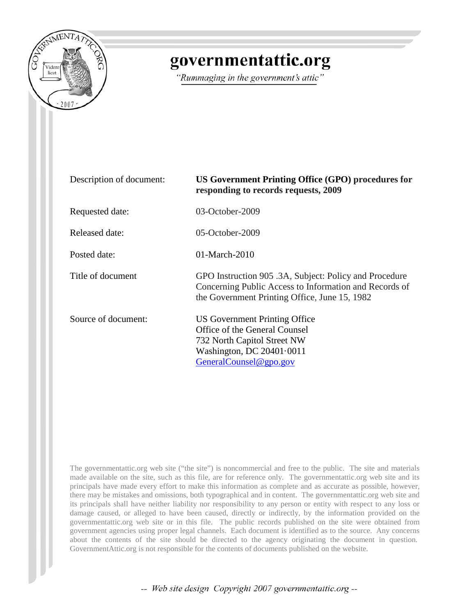

## governmentattic.org

"Rummaging in the government's attic"

| Description of document: | US Government Printing Office (GPO) procedures for<br>responding to records requests, 2009                                                                        |
|--------------------------|-------------------------------------------------------------------------------------------------------------------------------------------------------------------|
| Requested date:          | $03-October-2009$                                                                                                                                                 |
| Released date:           | $05$ -October-2009                                                                                                                                                |
| Posted date:             | $01-March-2010$                                                                                                                                                   |
| Title of document        | GPO Instruction 905 .3A, Subject: Policy and Procedure<br>Concerning Public Access to Information and Records of<br>the Government Printing Office, June 15, 1982 |
| Source of document:      | US Government Printing Office<br>Office of the General Counsel<br>732 North Capitol Street NW<br>Washington, DC $20401 \cdot 0011$<br>GeneralCounsel@gpo.gov      |

The governmentattic.org web site ("the site") is noncommercial and free to the public. The site and materials made available on the site, such as this file, are for reference only. The governmentattic.org web site and its principals have made every effort to make this information as complete and as accurate as possible, however, there may be mistakes and omissions, both typographical and in content. The governmentattic.org web site and its principals shall have neither liability nor responsibility to any person or entity with respect to any loss or damage caused, or alleged to have been caused, directly or indirectly, by the information provided on the governmentattic.org web site or in this file. The public records published on the site were obtained from government agencies using proper legal channels. Each document is identified as to the source. Any concerns about the contents of the site should be directed to the agency originating the document in question. GovernmentAttic.org is not responsible for the contents of documents published on the website.

-- Web site design Copyright 2007 governmentattic.org --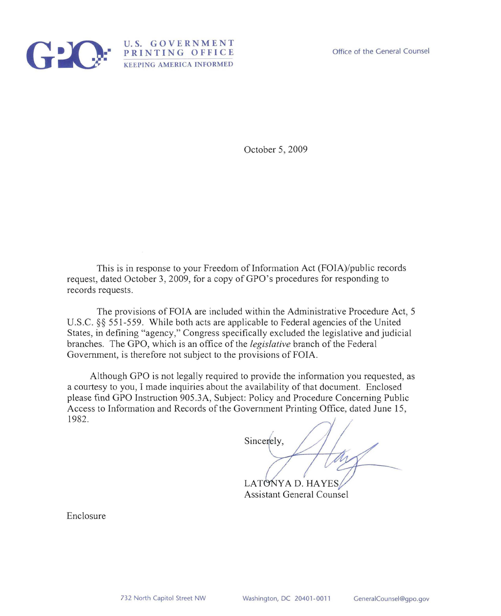

Office of the General Counsel

October 5, 2009

This is in response to your Freedom of Information Act (FOIA)/public records request, dated October 3, 2009, for a copy of GPO's procedures for responding to records requests.

U.S. GOVERNMENT **PRINTING OFFICE**  KEEPING AMERICA INFORMED

The provisions of FOIA are included within the Administrative Procedure Act, 5 U.S.c. §§ 551-559. While both acts are applicable to Federal agencies of the United States, *in* defining "agency," Congress specifically excluded the legislative and judicial branches. The GPO, which is an office of the *legislative* branch of the Federal Government, is therefore not subject to the provisions of FOIA.

Although GPO is not legally required to provide the information you requested, as a courtesy to you, I made inquiries about the availability of that document. Enclosed please find GPO Instruction 905 .3A, Subject: Policy and Procedure Concerning Public Access to Information and Records of the Government Printing Office, dated June 15, 1982.

Sincerely,

LATONYA D. HAYE Assistant General Counsel

Enclosure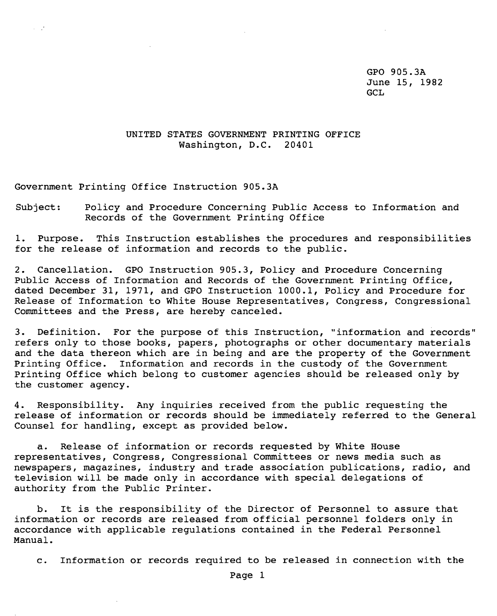GPO 905.3A June 15, 1982 GCL

## UNITED STATES GOVERNMENT PRINTING OFFICE Washington, D.C. 20401

Government Printing Office Instruction 905.3A

 $\alpha=\sqrt{2}$ 

Subject: Policy and Procedure Concerning Public Access to Information and Records of the Government Printing Office

1. Purpose. This Instruction establishes the procedures and responsibilities for the release of information and records to the public.

2. Cancellation. GPO Instruction 905.3, Policy and procedure Concerning Public Access of Information and Records of the Government printing Office, dated December 31, 1971, and GPO Instruction 1000.1, Policy and Procedure for Release of Information to White House Representatives, Congress, Congressional Committees and the Press, are hereby canceled.

3. Definition. For the purpose of this Instruction, "information and records" refers only to those books, papers, photographs or other documentary materials and the data thereon which are in being and are the property of the Government Printing Office. Information and records in the custody of the Government printing Office which belong to customer agencies should be released only by the customer agency.

4. Responsibility. Any inquiries received from the public requesting the release of information or records should be immediately referred to the General Counsel for handling, except as provided below.

a. Release of information or records requested by White House representatives, Congress, Congressional Committees or news media such as newspapers, magazines, industry and trade association publications, radio, and television will be made only in accordance with special delegations of authority from the Public Printer.

b. It is the responsibility of the Director of Personnel to assure that information or records are released from official personnel folders only in accordance with applicable regulations contained in the Federal Personnel Manual.

c. Information or records required to be released in connection with the